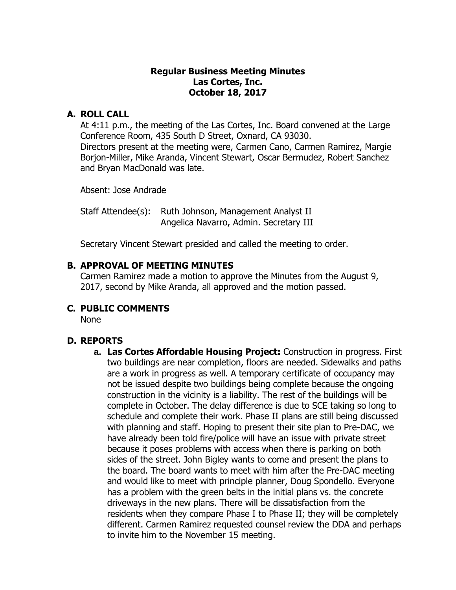#### **Regular Business Meeting Minutes Las Cortes, Inc. October 18, 2017**

### **A. ROLL CALL**

At 4:11 p.m., the meeting of the Las Cortes, Inc. Board convened at the Large Conference Room, 435 South D Street, Oxnard, CA 93030. Directors present at the meeting were, Carmen Cano, Carmen Ramirez, Margie Borjon-Miller, Mike Aranda, Vincent Stewart, Oscar Bermudez, Robert Sanchez and Bryan MacDonald was late.

Absent: Jose Andrade

Staff Attendee(s): Ruth Johnson, Management Analyst II Angelica Navarro, Admin. Secretary III

Secretary Vincent Stewart presided and called the meeting to order.

#### **B. APPROVAL OF MEETING MINUTES**

Carmen Ramirez made a motion to approve the Minutes from the August 9, 2017, second by Mike Aranda, all approved and the motion passed.

### **C. PUBLIC COMMENTS**

None

### **D. REPORTS**

**a. Las Cortes Affordable Housing Project:** Construction in progress. First two buildings are near completion, floors are needed. Sidewalks and paths are a work in progress as well. A temporary certificate of occupancy may not be issued despite two buildings being complete because the ongoing construction in the vicinity is a liability. The rest of the buildings will be complete in October. The delay difference is due to SCE taking so long to schedule and complete their work. Phase II plans are still being discussed with planning and staff. Hoping to present their site plan to Pre-DAC, we have already been told fire/police will have an issue with private street because it poses problems with access when there is parking on both sides of the street. John Bigley wants to come and present the plans to the board. The board wants to meet with him after the Pre-DAC meeting and would like to meet with principle planner, Doug Spondello. Everyone has a problem with the green belts in the initial plans vs. the concrete driveways in the new plans. There will be dissatisfaction from the residents when they compare Phase I to Phase II; they will be completely different. Carmen Ramirez requested counsel review the DDA and perhaps to invite him to the November 15 meeting.